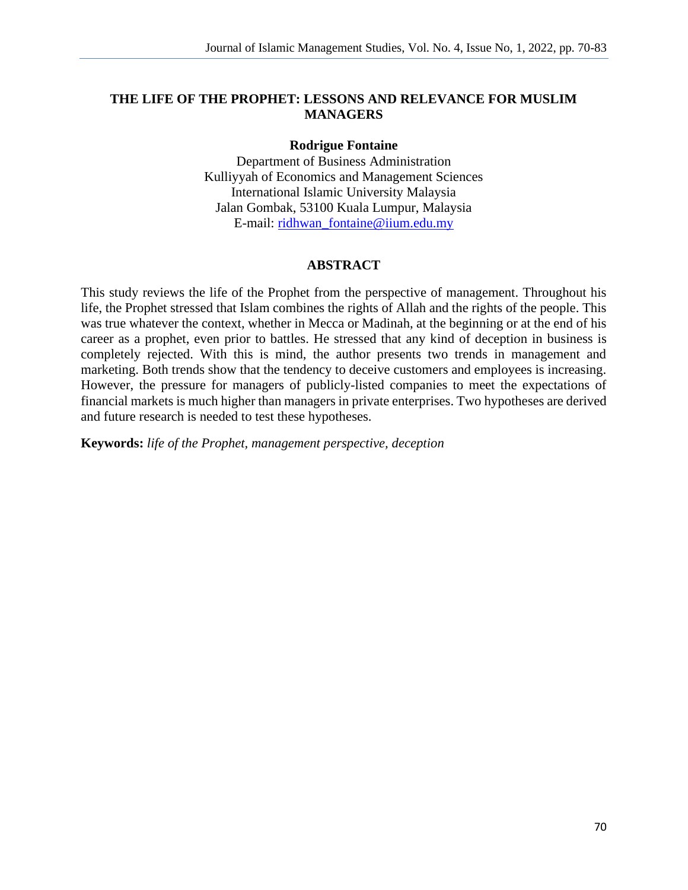#### **THE LIFE OF THE PROPHET: LESSONS AND RELEVANCE FOR MUSLIM MANAGERS**

#### **Rodrigue Fontaine**

Department of Business Administration Kulliyyah of Economics and Management Sciences International Islamic University Malaysia Jalan Gombak, 53100 Kuala Lumpur, Malaysia E-mail: [ridhwan\\_fontaine@iium.edu.my](mailto:ridhwan_fontaine@iium.edu.my)

#### **ABSTRACT**

This study reviews the life of the Prophet from the perspective of management. Throughout his life, the Prophet stressed that Islam combines the rights of Allah and the rights of the people. This was true whatever the context, whether in Mecca or Madinah, at the beginning or at the end of his career as a prophet, even prior to battles. He stressed that any kind of deception in business is completely rejected. With this is mind, the author presents two trends in management and marketing. Both trends show that the tendency to deceive customers and employees is increasing. However, the pressure for managers of publicly-listed companies to meet the expectations of financial markets is much higher than managers in private enterprises. Two hypotheses are derived and future research is needed to test these hypotheses.

**Keywords:** *life of the Prophet, management perspective, deception*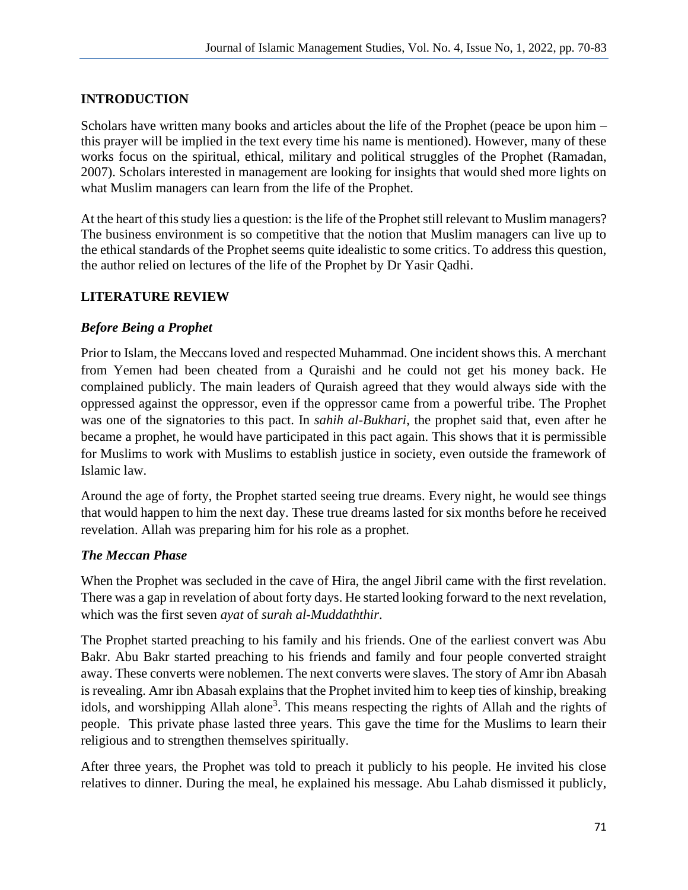## **INTRODUCTION**

Scholars have written many books and articles about the life of the Prophet (peace be upon him – this prayer will be implied in the text every time his name is mentioned). However, many of these works focus on the spiritual, ethical, military and political struggles of the Prophet (Ramadan, 2007). Scholars interested in management are looking for insights that would shed more lights on what Muslim managers can learn from the life of the Prophet.

At the heart of this study lies a question: is the life of the Prophet still relevant to Muslim managers? The business environment is so competitive that the notion that Muslim managers can live up to the ethical standards of the Prophet seems quite idealistic to some critics. To address this question, the author relied on lectures of the life of the Prophet by Dr Yasir Qadhi.

#### **LITERATURE REVIEW**

#### *Before Being a Prophet*

Prior to Islam, the Meccans loved and respected Muhammad. One incident shows this. A merchant from Yemen had been cheated from a Quraishi and he could not get his money back. He complained publicly. The main leaders of Quraish agreed that they would always side with the oppressed against the oppressor, even if the oppressor came from a powerful tribe. The Prophet was one of the signatories to this pact. In *sahih al-Bukhari*, the prophet said that, even after he became a prophet, he would have participated in this pact again. This shows that it is permissible for Muslims to work with Muslims to establish justice in society, even outside the framework of Islamic law.

Around the age of forty, the Prophet started seeing true dreams. Every night, he would see things that would happen to him the next day. These true dreams lasted for six months before he received revelation. Allah was preparing him for his role as a prophet.

#### *The Meccan Phase*

When the Prophet was secluded in the cave of Hira, the angel Jibril came with the first revelation. There was a gap in revelation of about forty days. He started looking forward to the next revelation, which was the first seven *ayat* of *surah al-Muddaththir*.

The Prophet started preaching to his family and his friends. One of the earliest convert was Abu Bakr. Abu Bakr started preaching to his friends and family and four people converted straight away. These converts were noblemen. The next converts were slaves. The story of Amr ibn Abasah is revealing. Amr ibn Abasah explains that the Prophet invited him to keep ties of kinship, breaking idols, and worshipping Allah alone<sup>3</sup>. This means respecting the rights of Allah and the rights of people. This private phase lasted three years. This gave the time for the Muslims to learn their religious and to strengthen themselves spiritually.

After three years, the Prophet was told to preach it publicly to his people. He invited his close relatives to dinner. During the meal, he explained his message. Abu Lahab dismissed it publicly,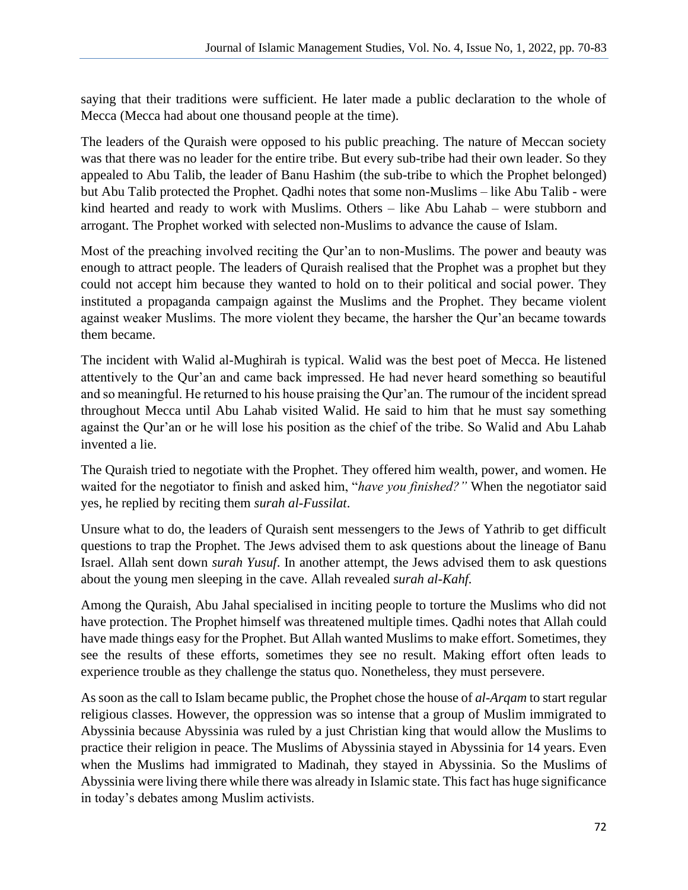saying that their traditions were sufficient. He later made a public declaration to the whole of Mecca (Mecca had about one thousand people at the time).

The leaders of the Quraish were opposed to his public preaching. The nature of Meccan society was that there was no leader for the entire tribe. But every sub-tribe had their own leader. So they appealed to Abu Talib, the leader of Banu Hashim (the sub-tribe to which the Prophet belonged) but Abu Talib protected the Prophet. Qadhi notes that some non-Muslims – like Abu Talib - were kind hearted and ready to work with Muslims. Others – like Abu Lahab – were stubborn and arrogant. The Prophet worked with selected non-Muslims to advance the cause of Islam.

Most of the preaching involved reciting the Qur'an to non-Muslims. The power and beauty was enough to attract people. The leaders of Quraish realised that the Prophet was a prophet but they could not accept him because they wanted to hold on to their political and social power. They instituted a propaganda campaign against the Muslims and the Prophet. They became violent against weaker Muslims. The more violent they became, the harsher the Qur'an became towards them became.

The incident with Walid al-Mughirah is typical. Walid was the best poet of Mecca. He listened attentively to the Qur'an and came back impressed. He had never heard something so beautiful and so meaningful. He returned to his house praising the Qur'an. The rumour of the incident spread throughout Mecca until Abu Lahab visited Walid. He said to him that he must say something against the Qur'an or he will lose his position as the chief of the tribe. So Walid and Abu Lahab invented a lie.

The Quraish tried to negotiate with the Prophet. They offered him wealth, power, and women. He waited for the negotiator to finish and asked him, "*have you finished?"* When the negotiator said yes, he replied by reciting them *surah al-Fussilat*.

Unsure what to do, the leaders of Quraish sent messengers to the Jews of Yathrib to get difficult questions to trap the Prophet. The Jews advised them to ask questions about the lineage of Banu Israel. Allah sent down *surah Yusuf*. In another attempt, the Jews advised them to ask questions about the young men sleeping in the cave. Allah revealed *surah al-Kahf.*

Among the Quraish, Abu Jahal specialised in inciting people to torture the Muslims who did not have protection. The Prophet himself was threatened multiple times. Qadhi notes that Allah could have made things easy for the Prophet. But Allah wanted Muslims to make effort. Sometimes, they see the results of these efforts, sometimes they see no result. Making effort often leads to experience trouble as they challenge the status quo. Nonetheless, they must persevere.

As soon as the call to Islam became public, the Prophet chose the house of *al-Arqam* to start regular religious classes. However, the oppression was so intense that a group of Muslim immigrated to Abyssinia because Abyssinia was ruled by a just Christian king that would allow the Muslims to practice their religion in peace. The Muslims of Abyssinia stayed in Abyssinia for 14 years. Even when the Muslims had immigrated to Madinah, they stayed in Abyssinia. So the Muslims of Abyssinia were living there while there was already in Islamic state. This fact has huge significance in today's debates among Muslim activists.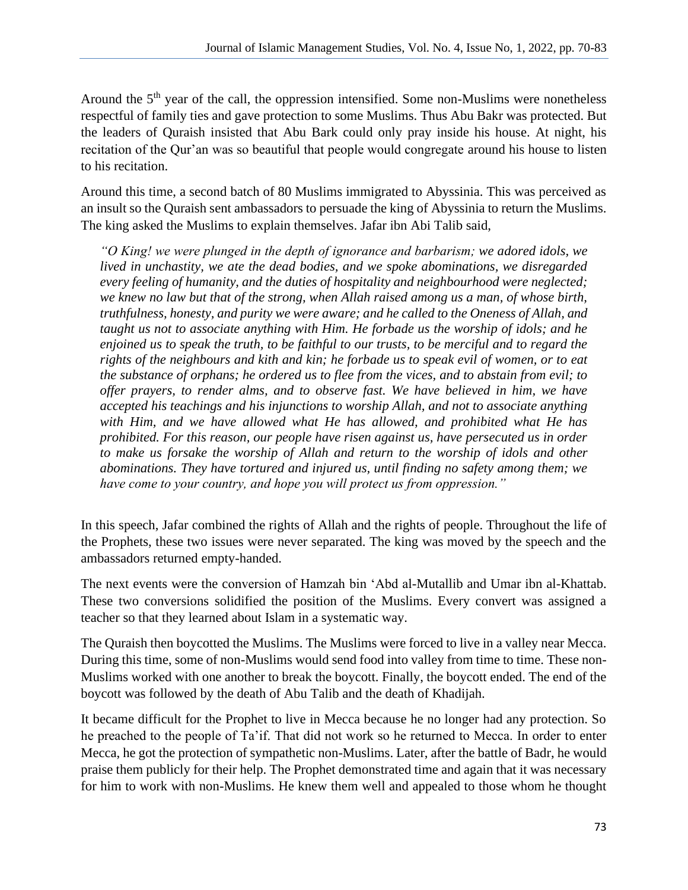Around the 5<sup>th</sup> year of the call, the oppression intensified. Some non-Muslims were nonetheless respectful of family ties and gave protection to some Muslims. Thus Abu Bakr was protected. But the leaders of Quraish insisted that Abu Bark could only pray inside his house. At night, his recitation of the Qur'an was so beautiful that people would congregate around his house to listen to his recitation.

Around this time, a second batch of 80 Muslims immigrated to Abyssinia. This was perceived as an insult so the Quraish sent ambassadors to persuade the king of Abyssinia to return the Muslims. The king asked the Muslims to explain themselves. Jafar ibn Abi Talib said,

*"O King! we were plunged in the depth of ignorance and barbarism; we adored idols, we lived in unchastity, we ate the dead bodies, and we spoke abominations, we disregarded every feeling of humanity, and the duties of hospitality and neighbourhood were neglected; we knew no law but that of the strong, when Allah raised among us a man, of whose birth, truthfulness, honesty, and purity we were aware; and he called to the Oneness of Allah, and taught us not to associate anything with Him. He forbade us the worship of idols; and he enjoined us to speak the truth, to be faithful to our trusts, to be merciful and to regard the rights of the neighbours and kith and kin; he forbade us to speak evil of women, or to eat the substance of orphans; he ordered us to flee from the vices, and to abstain from evil; to offer prayers, to render alms, and to observe fast. We have believed in him, we have accepted his teachings and his injunctions to worship Allah, and not to associate anything with Him, and we have allowed what He has allowed, and prohibited what He has prohibited. For this reason, our people have risen against us, have persecuted us in order to make us forsake the worship of Allah and return to the worship of idols and other abominations. They have tortured and injured us, until finding no safety among them; we have come to your country, and hope you will protect us from oppression."*

In this speech, Jafar combined the rights of Allah and the rights of people. Throughout the life of the Prophets, these two issues were never separated. The king was moved by the speech and the ambassadors returned empty-handed.

The next events were the conversion of Hamzah bin 'Abd al-Mutallib and Umar ibn al-Khattab. These two conversions solidified the position of the Muslims. Every convert was assigned a teacher so that they learned about Islam in a systematic way.

The Quraish then boycotted the Muslims. The Muslims were forced to live in a valley near Mecca. During this time, some of non-Muslims would send food into valley from time to time. These non-Muslims worked with one another to break the boycott. Finally, the boycott ended. The end of the boycott was followed by the death of Abu Talib and the death of Khadijah.

It became difficult for the Prophet to live in Mecca because he no longer had any protection. So he preached to the people of Ta'if. That did not work so he returned to Mecca. In order to enter Mecca, he got the protection of sympathetic non-Muslims. Later, after the battle of Badr, he would praise them publicly for their help. The Prophet demonstrated time and again that it was necessary for him to work with non-Muslims. He knew them well and appealed to those whom he thought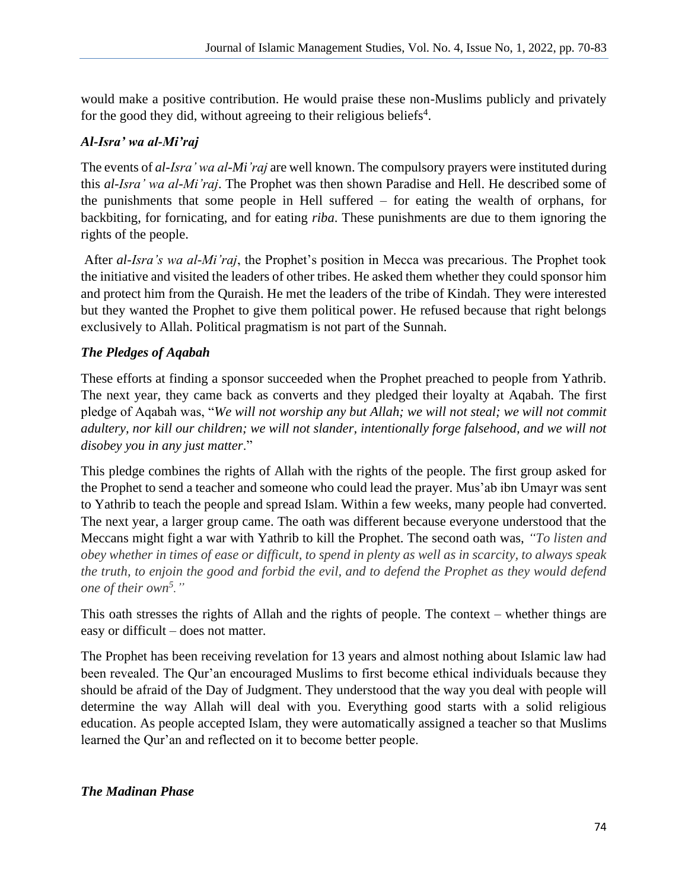would make a positive contribution. He would praise these non-Muslims publicly and privately for the good they did, without agreeing to their religious beliefs<sup>4</sup>.

## *Al-Isra' wa al-Mi'raj*

The events of *al-Isra' wa al-Mi'raj* are well known. The compulsory prayers were instituted during this *al-Isra' wa al-Mi'raj*. The Prophet was then shown Paradise and Hell. He described some of the punishments that some people in Hell suffered – for eating the wealth of orphans, for backbiting, for fornicating, and for eating *riba*. These punishments are due to them ignoring the rights of the people.

After *al-Isra's wa al-Mi'raj*, the Prophet's position in Mecca was precarious. The Prophet took the initiative and visited the leaders of other tribes. He asked them whether they could sponsor him and protect him from the Quraish. He met the leaders of the tribe of Kindah. They were interested but they wanted the Prophet to give them political power. He refused because that right belongs exclusively to Allah. Political pragmatism is not part of the Sunnah.

# *The Pledges of Aqabah*

These efforts at finding a sponsor succeeded when the Prophet preached to people from Yathrib. The next year, they came back as converts and they pledged their loyalty at Aqabah. The first pledge of Aqabah was, "*We will not worship any but Allah; we will not steal; we will not commit adultery, nor kill our children; we will not slander, intentionally forge falsehood, and we will not disobey you in any just matter*."

This pledge combines the rights of Allah with the rights of the people. The first group asked for the Prophet to send a teacher and someone who could lead the prayer. Mus'ab ibn Umayr was sent to Yathrib to teach the people and spread Islam. Within a few weeks, many people had converted. The next year, a larger group came. The oath was different because everyone understood that the Meccans might fight a war with Yathrib to kill the Prophet. The second oath was, *"To listen and obey whether in times of ease or difficult, to spend in plenty as well as in scarcity, to always speak the truth, to enjoin the good and forbid the evil, and to defend the Prophet as they would defend one of their own<sup>5</sup> ."*

This oath stresses the rights of Allah and the rights of people. The context – whether things are easy or difficult – does not matter.

The Prophet has been receiving revelation for 13 years and almost nothing about Islamic law had been revealed. The Qur'an encouraged Muslims to first become ethical individuals because they should be afraid of the Day of Judgment. They understood that the way you deal with people will determine the way Allah will deal with you. Everything good starts with a solid religious education. As people accepted Islam, they were automatically assigned a teacher so that Muslims learned the Qur'an and reflected on it to become better people.

## *The Madinan Phase*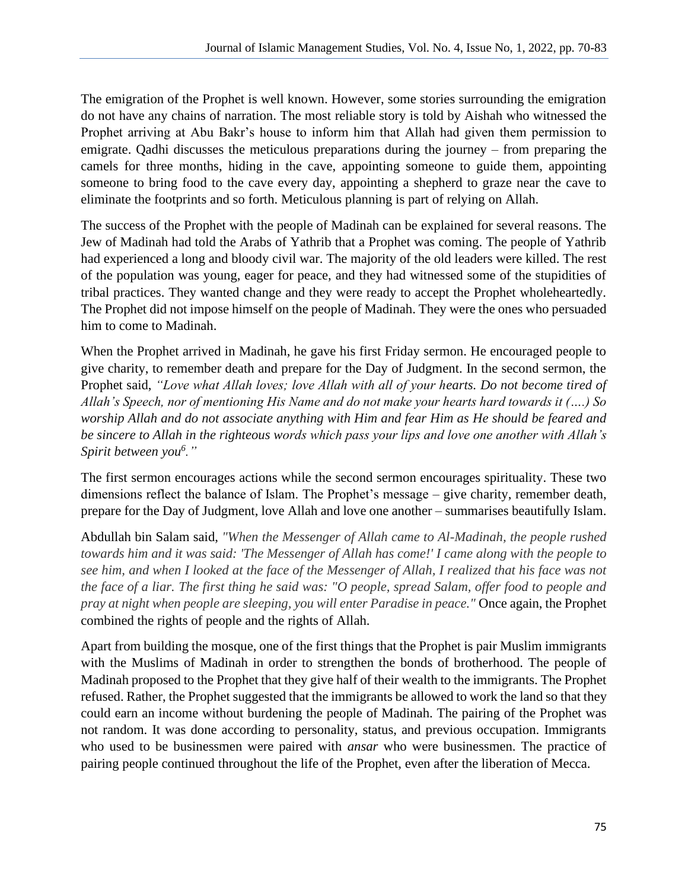The emigration of the Prophet is well known. However, some stories surrounding the emigration do not have any chains of narration. The most reliable story is told by Aishah who witnessed the Prophet arriving at Abu Bakr's house to inform him that Allah had given them permission to emigrate. Qadhi discusses the meticulous preparations during the journey – from preparing the camels for three months, hiding in the cave, appointing someone to guide them, appointing someone to bring food to the cave every day, appointing a shepherd to graze near the cave to eliminate the footprints and so forth. Meticulous planning is part of relying on Allah.

The success of the Prophet with the people of Madinah can be explained for several reasons. The Jew of Madinah had told the Arabs of Yathrib that a Prophet was coming. The people of Yathrib had experienced a long and bloody civil war. The majority of the old leaders were killed. The rest of the population was young, eager for peace, and they had witnessed some of the stupidities of tribal practices. They wanted change and they were ready to accept the Prophet wholeheartedly. The Prophet did not impose himself on the people of Madinah. They were the ones who persuaded him to come to Madinah.

When the Prophet arrived in Madinah, he gave his first Friday sermon. He encouraged people to give charity, to remember death and prepare for the Day of Judgment. In the second sermon, the Prophet said, *"Love what Allah loves; love Allah with all of your hearts. Do not become tired of Allah's Speech, nor of mentioning His Name and do not make your hearts hard towards it (….) So worship Allah and do not associate anything with Him and fear Him as He should be feared and be sincere to Allah in the righteous words which pass your lips and love one another with Allah's Spirit between you<sup>6</sup> ."*

The first sermon encourages actions while the second sermon encourages spirituality. These two dimensions reflect the balance of Islam. The Prophet's message – give charity, remember death, prepare for the Day of Judgment, love Allah and love one another – summarises beautifully Islam.

Abdullah bin Salam said, *"When the Messenger of Allah came to Al-Madinah, the people rushed towards him and it was said: 'The Messenger of Allah has come!' I came along with the people to see him, and when I looked at the face of the Messenger of Allah, I realized that his face was not the face of a liar. The first thing he said was: "O people, spread Salam, offer food to people and pray at night when people are sleeping, you will enter Paradise in peace."* Once again, the Prophet combined the rights of people and the rights of Allah.

Apart from building the mosque, one of the first things that the Prophet is pair Muslim immigrants with the Muslims of Madinah in order to strengthen the bonds of brotherhood. The people of Madinah proposed to the Prophet that they give half of their wealth to the immigrants. The Prophet refused. Rather, the Prophet suggested that the immigrants be allowed to work the land so that they could earn an income without burdening the people of Madinah. The pairing of the Prophet was not random. It was done according to personality, status, and previous occupation. Immigrants who used to be businessmen were paired with *ansar* who were businessmen. The practice of pairing people continued throughout the life of the Prophet, even after the liberation of Mecca.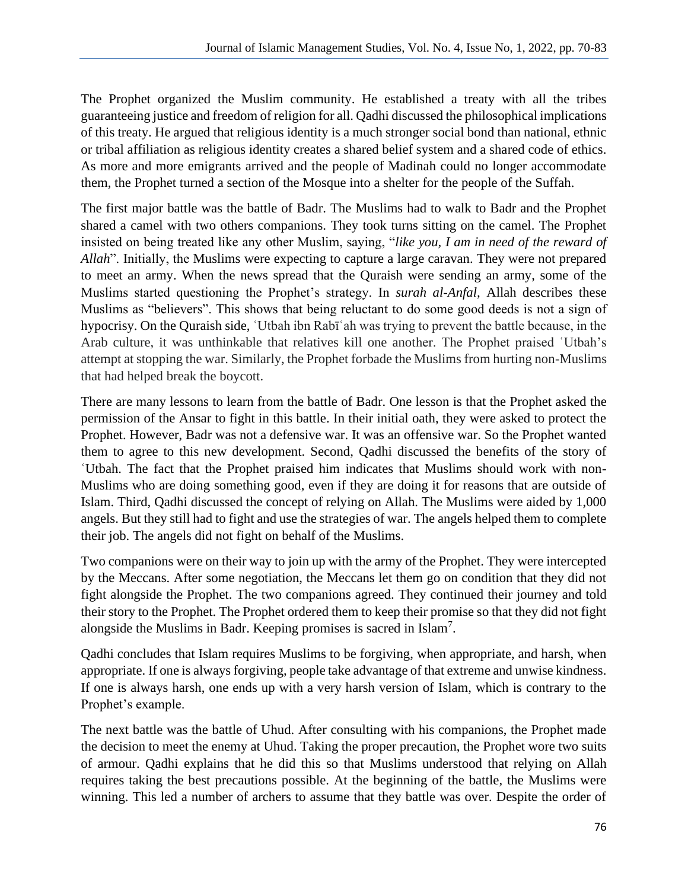The Prophet organized the Muslim community. He established a treaty with all the tribes guaranteeing justice and freedom of religion for all. Qadhi discussed the philosophical implications of this treaty. He argued that religious identity is a much stronger social bond than national, ethnic or tribal affiliation as religious identity creates a shared belief system and a shared code of ethics. As more and more emigrants arrived and the people of Madinah could no longer accommodate them, the Prophet turned a section of the Mosque into a shelter for the people of the Suffah.

The first major battle was the battle of Badr. The Muslims had to walk to Badr and the Prophet shared a camel with two others companions. They took turns sitting on the camel. The Prophet insisted on being treated like any other Muslim, saying, "*like you, I am in need of the reward of Allah*". Initially, the Muslims were expecting to capture a large caravan. They were not prepared to meet an army. When the news spread that the Quraish were sending an army, some of the Muslims started questioning the Prophet's strategy. In *surah al-Anfal,* Allah describes these Muslims as "believers". This shows that being reluctant to do some good deeds is not a sign of hypocrisy. On the Quraish side, ʿUtbah ibn Rabīʿah was trying to prevent the battle because, in the Arab culture, it was unthinkable that relatives kill one another. The Prophet praised ʿUtbah's attempt at stopping the war. Similarly, the Prophet forbade the Muslims from hurting non-Muslims that had helped break the boycott.

There are many lessons to learn from the battle of Badr. One lesson is that the Prophet asked the permission of the Ansar to fight in this battle. In their initial oath, they were asked to protect the Prophet. However, Badr was not a defensive war. It was an offensive war. So the Prophet wanted them to agree to this new development. Second, Qadhi discussed the benefits of the story of ʿUtbah. The fact that the Prophet praised him indicates that Muslims should work with non-Muslims who are doing something good, even if they are doing it for reasons that are outside of Islam. Third, Qadhi discussed the concept of relying on Allah. The Muslims were aided by 1,000 angels. But they still had to fight and use the strategies of war. The angels helped them to complete their job. The angels did not fight on behalf of the Muslims.

Two companions were on their way to join up with the army of the Prophet. They were intercepted by the Meccans. After some negotiation, the Meccans let them go on condition that they did not fight alongside the Prophet. The two companions agreed. They continued their journey and told their story to the Prophet. The Prophet ordered them to keep their promise so that they did not fight alongside the Muslims in Badr. Keeping promises is sacred in Islam<sup>7</sup>.

Qadhi concludes that Islam requires Muslims to be forgiving, when appropriate, and harsh, when appropriate. If one is always forgiving, people take advantage of that extreme and unwise kindness. If one is always harsh, one ends up with a very harsh version of Islam, which is contrary to the Prophet's example.

The next battle was the battle of Uhud. After consulting with his companions, the Prophet made the decision to meet the enemy at Uhud. Taking the proper precaution, the Prophet wore two suits of armour. Qadhi explains that he did this so that Muslims understood that relying on Allah requires taking the best precautions possible. At the beginning of the battle, the Muslims were winning. This led a number of archers to assume that they battle was over. Despite the order of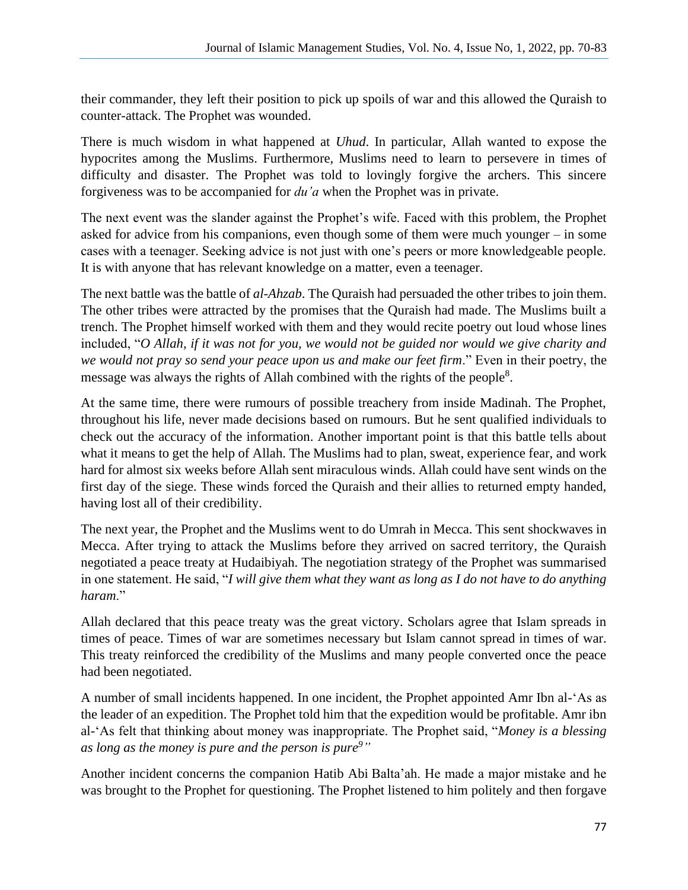their commander, they left their position to pick up spoils of war and this allowed the Quraish to counter-attack. The Prophet was wounded.

There is much wisdom in what happened at *Uhud*. In particular, Allah wanted to expose the hypocrites among the Muslims. Furthermore, Muslims need to learn to persevere in times of difficulty and disaster. The Prophet was told to lovingly forgive the archers. This sincere forgiveness was to be accompanied for *du'a* when the Prophet was in private.

The next event was the slander against the Prophet's wife. Faced with this problem, the Prophet asked for advice from his companions, even though some of them were much younger – in some cases with a teenager. Seeking advice is not just with one's peers or more knowledgeable people. It is with anyone that has relevant knowledge on a matter, even a teenager.

The next battle was the battle of *al-Ahzab*. The Quraish had persuaded the other tribes to join them. The other tribes were attracted by the promises that the Quraish had made. The Muslims built a trench. The Prophet himself worked with them and they would recite poetry out loud whose lines included, "*O Allah, if it was not for you, we would not be guided nor would we give charity and we would not pray so send your peace upon us and make our feet firm*." Even in their poetry, the message was always the rights of Allah combined with the rights of the people<sup>8</sup>.

At the same time, there were rumours of possible treachery from inside Madinah. The Prophet, throughout his life, never made decisions based on rumours. But he sent qualified individuals to check out the accuracy of the information. Another important point is that this battle tells about what it means to get the help of Allah. The Muslims had to plan, sweat, experience fear, and work hard for almost six weeks before Allah sent miraculous winds. Allah could have sent winds on the first day of the siege. These winds forced the Quraish and their allies to returned empty handed, having lost all of their credibility.

The next year, the Prophet and the Muslims went to do Umrah in Mecca. This sent shockwaves in Mecca. After trying to attack the Muslims before they arrived on sacred territory, the Quraish negotiated a peace treaty at Hudaibiyah. The negotiation strategy of the Prophet was summarised in one statement. He said, "*I will give them what they want as long as I do not have to do anything haram*."

Allah declared that this peace treaty was the great victory. Scholars agree that Islam spreads in times of peace. Times of war are sometimes necessary but Islam cannot spread in times of war. This treaty reinforced the credibility of the Muslims and many people converted once the peace had been negotiated.

A number of small incidents happened. In one incident, the Prophet appointed Amr Ibn al-'As as the leader of an expedition. The Prophet told him that the expedition would be profitable. Amr ibn al-'As felt that thinking about money was inappropriate. The Prophet said, "*Money is a blessing as long as the money is pure and the person is pure<sup>9</sup>"*

Another incident concerns the companion Hatib Abi Balta'ah. He made a major mistake and he was brought to the Prophet for questioning. The Prophet listened to him politely and then forgave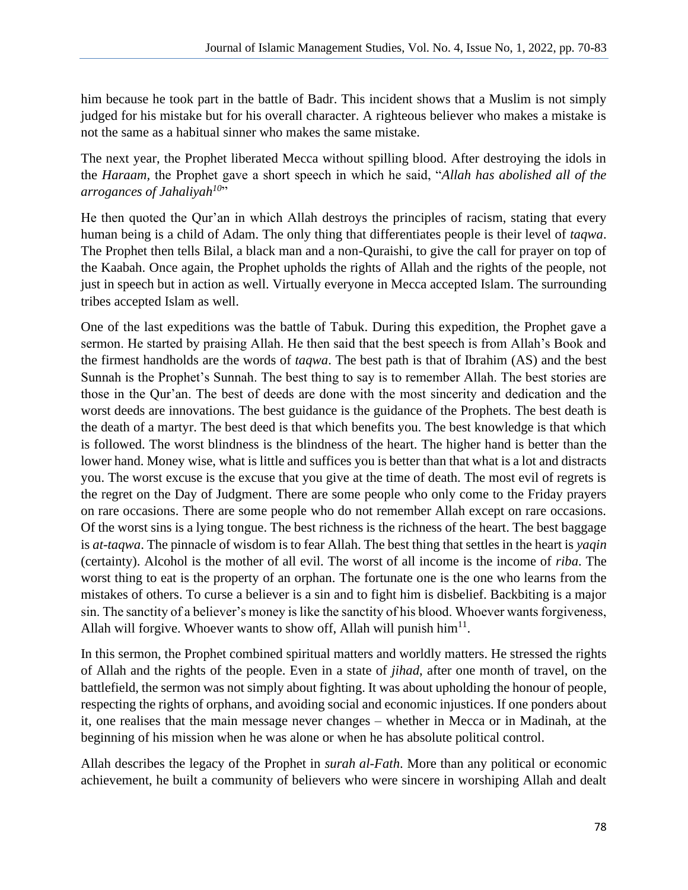him because he took part in the battle of Badr. This incident shows that a Muslim is not simply judged for his mistake but for his overall character. A righteous believer who makes a mistake is not the same as a habitual sinner who makes the same mistake.

The next year, the Prophet liberated Mecca without spilling blood. After destroying the idols in the *Haraam,* the Prophet gave a short speech in which he said, "*Allah has abolished all of the arrogances of Jahaliyah<sup>10</sup>* "

He then quoted the Qur'an in which Allah destroys the principles of racism, stating that every human being is a child of Adam. The only thing that differentiates people is their level of *taqwa*. The Prophet then tells Bilal, a black man and a non-Quraishi, to give the call for prayer on top of the Kaabah. Once again, the Prophet upholds the rights of Allah and the rights of the people, not just in speech but in action as well. Virtually everyone in Mecca accepted Islam. The surrounding tribes accepted Islam as well.

One of the last expeditions was the battle of Tabuk. During this expedition, the Prophet gave a sermon. He started by praising Allah. He then said that the best speech is from Allah's Book and the firmest handholds are the words of *taqwa*. The best path is that of Ibrahim (AS) and the best Sunnah is the Prophet's Sunnah. The best thing to say is to remember Allah. The best stories are those in the Qur'an. The best of deeds are done with the most sincerity and dedication and the worst deeds are innovations. The best guidance is the guidance of the Prophets. The best death is the death of a martyr. The best deed is that which benefits you. The best knowledge is that which is followed. The worst blindness is the blindness of the heart. The higher hand is better than the lower hand. Money wise, what is little and suffices you is better than that what is a lot and distracts you. The worst excuse is the excuse that you give at the time of death. The most evil of regrets is the regret on the Day of Judgment. There are some people who only come to the Friday prayers on rare occasions. There are some people who do not remember Allah except on rare occasions. Of the worst sins is a lying tongue. The best richness is the richness of the heart. The best baggage is *at-taqwa*. The pinnacle of wisdom is to fear Allah. The best thing that settles in the heart is *yaqin* (certainty). Alcohol is the mother of all evil. The worst of all income is the income of *riba*. The worst thing to eat is the property of an orphan. The fortunate one is the one who learns from the mistakes of others. To curse a believer is a sin and to fight him is disbelief. Backbiting is a major sin. The sanctity of a believer's money is like the sanctity of his blood. Whoever wants forgiveness, Allah will forgive. Whoever wants to show off, Allah will punish  $\text{him}^{11}$ .

In this sermon, the Prophet combined spiritual matters and worldly matters. He stressed the rights of Allah and the rights of the people. Even in a state of *jihad*, after one month of travel, on the battlefield, the sermon was not simply about fighting. It was about upholding the honour of people, respecting the rights of orphans, and avoiding social and economic injustices. If one ponders about it, one realises that the main message never changes – whether in Mecca or in Madinah, at the beginning of his mission when he was alone or when he has absolute political control.

Allah describes the legacy of the Prophet in *surah al-Fath*. More than any political or economic achievement, he built a community of believers who were sincere in worshiping Allah and dealt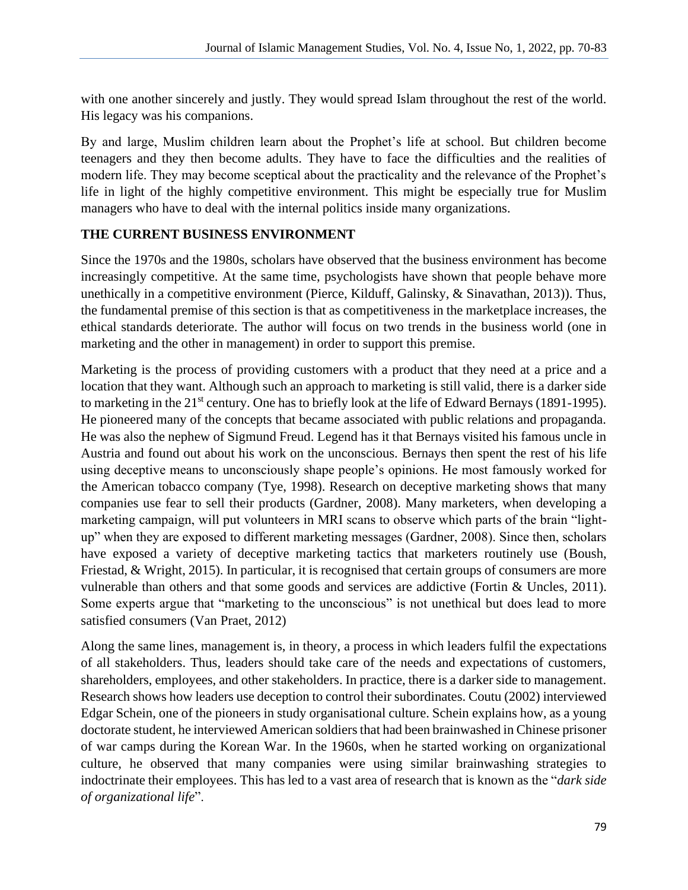with one another sincerely and justly. They would spread Islam throughout the rest of the world. His legacy was his companions.

By and large, Muslim children learn about the Prophet's life at school. But children become teenagers and they then become adults. They have to face the difficulties and the realities of modern life. They may become sceptical about the practicality and the relevance of the Prophet's life in light of the highly competitive environment. This might be especially true for Muslim managers who have to deal with the internal politics inside many organizations.

## **THE CURRENT BUSINESS ENVIRONMENT**

Since the 1970s and the 1980s, scholars have observed that the business environment has become increasingly competitive. At the same time, psychologists have shown that people behave more unethically in a competitive environment (Pierce, Kilduff, Galinsky, & Sinavathan, 2013)). Thus, the fundamental premise of this section is that as competitiveness in the marketplace increases, the ethical standards deteriorate. The author will focus on two trends in the business world (one in marketing and the other in management) in order to support this premise.

Marketing is the process of providing customers with a product that they need at a price and a location that they want. Although such an approach to marketing is still valid, there is a darker side to marketing in the  $21<sup>st</sup>$  century. One has to briefly look at the life of Edward Bernays (1891-1995). He pioneered many of the concepts that became associated with public relations and propaganda. He was also the nephew of Sigmund Freud. Legend has it that Bernays visited his famous uncle in Austria and found out about his work on the unconscious. Bernays then spent the rest of his life using deceptive means to unconsciously shape people's opinions. He most famously worked for the American tobacco company (Tye, 1998). Research on deceptive marketing shows that many companies use fear to sell their products (Gardner, 2008). Many marketers, when developing a marketing campaign, will put volunteers in MRI scans to observe which parts of the brain "lightup" when they are exposed to different marketing messages (Gardner, 2008). Since then, scholars have exposed a variety of deceptive marketing tactics that marketers routinely use (Boush, Friestad, & Wright, 2015). In particular, it is recognised that certain groups of consumers are more vulnerable than others and that some goods and services are addictive (Fortin & Uncles, 2011). Some experts argue that "marketing to the unconscious" is not unethical but does lead to more satisfied consumers (Van Praet, 2012)

Along the same lines, management is, in theory, a process in which leaders fulfil the expectations of all stakeholders. Thus, leaders should take care of the needs and expectations of customers, shareholders, employees, and other stakeholders. In practice, there is a darker side to management. Research shows how leaders use deception to control their subordinates. Coutu (2002) interviewed Edgar Schein, one of the pioneers in study organisational culture. Schein explains how, as a young doctorate student, he interviewed American soldiers that had been brainwashed in Chinese prisoner of war camps during the Korean War. In the 1960s, when he started working on organizational culture, he observed that many companies were using similar brainwashing strategies to indoctrinate their employees. This has led to a vast area of research that is known as the "*dark side of organizational life*".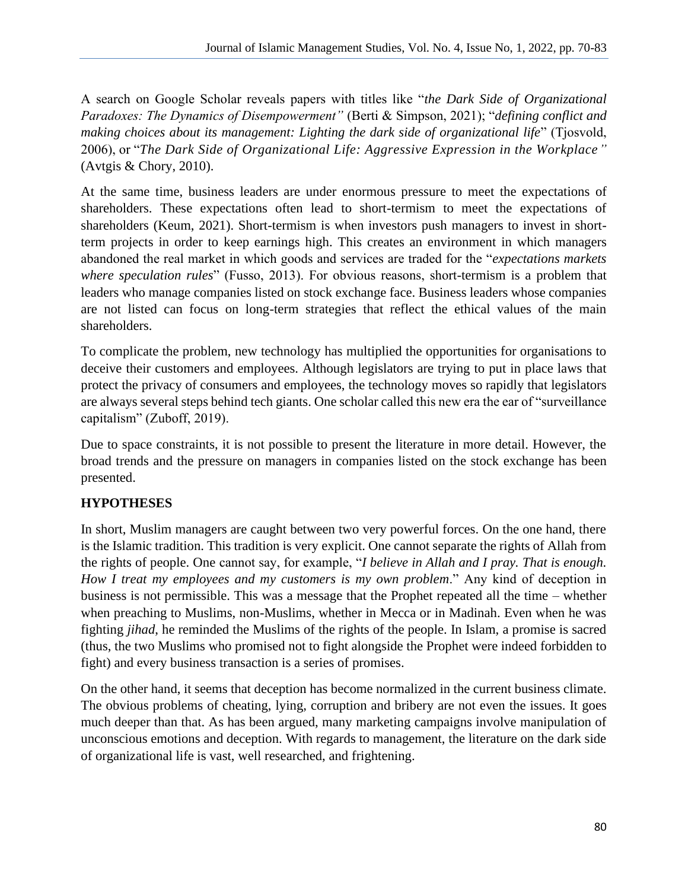A search on Google Scholar reveals papers with titles like "*the Dark Side of Organizational Paradoxes: The Dynamics of Disempowerment"* (Berti & Simpson, 2021); "*defining conflict and making choices about its management: Lighting the dark side of organizational life*" (Tjosvold, 2006), or "*The Dark Side of Organizational Life: Aggressive Expression in the Workplace"*  (Avtgis & Chory, 2010).

At the same time, business leaders are under enormous pressure to meet the expectations of shareholders. These expectations often lead to short-termism to meet the expectations of shareholders (Keum, 2021). Short-termism is when investors push managers to invest in shortterm projects in order to keep earnings high. This creates an environment in which managers abandoned the real market in which goods and services are traded for the "*expectations markets where speculation rules*" (Fusso, 2013). For obvious reasons, short-termism is a problem that leaders who manage companies listed on stock exchange face. Business leaders whose companies are not listed can focus on long-term strategies that reflect the ethical values of the main shareholders.

To complicate the problem, new technology has multiplied the opportunities for organisations to deceive their customers and employees. Although legislators are trying to put in place laws that protect the privacy of consumers and employees, the technology moves so rapidly that legislators are always several steps behind tech giants. One scholar called this new era the ear of "surveillance capitalism" (Zuboff, 2019).

Due to space constraints, it is not possible to present the literature in more detail. However, the broad trends and the pressure on managers in companies listed on the stock exchange has been presented.

## **HYPOTHESES**

In short, Muslim managers are caught between two very powerful forces. On the one hand, there is the Islamic tradition. This tradition is very explicit. One cannot separate the rights of Allah from the rights of people. One cannot say, for example, "*I believe in Allah and I pray. That is enough. How I treat my employees and my customers is my own problem*." Any kind of deception in business is not permissible. This was a message that the Prophet repeated all the time – whether when preaching to Muslims, non-Muslims, whether in Mecca or in Madinah. Even when he was fighting *jihad*, he reminded the Muslims of the rights of the people. In Islam, a promise is sacred (thus, the two Muslims who promised not to fight alongside the Prophet were indeed forbidden to fight) and every business transaction is a series of promises.

On the other hand, it seems that deception has become normalized in the current business climate. The obvious problems of cheating, lying, corruption and bribery are not even the issues. It goes much deeper than that. As has been argued, many marketing campaigns involve manipulation of unconscious emotions and deception. With regards to management, the literature on the dark side of organizational life is vast, well researched, and frightening.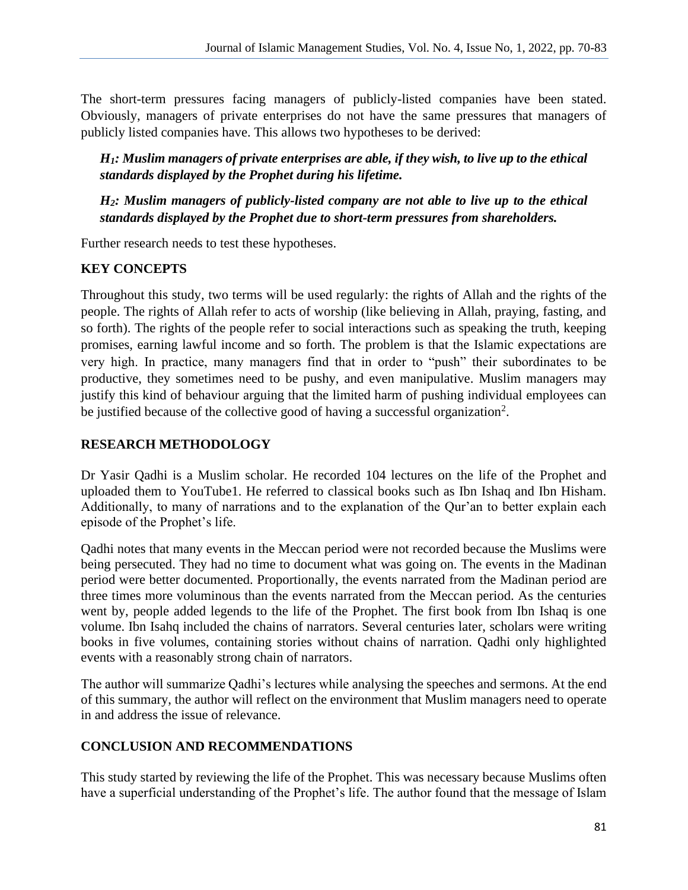The short-term pressures facing managers of publicly-listed companies have been stated. Obviously, managers of private enterprises do not have the same pressures that managers of publicly listed companies have. This allows two hypotheses to be derived:

*H1: Muslim managers of private enterprises are able, if they wish, to live up to the ethical standards displayed by the Prophet during his lifetime.* 

*H2: Muslim managers of publicly-listed company are not able to live up to the ethical standards displayed by the Prophet due to short-term pressures from shareholders.* 

Further research needs to test these hypotheses.

# **KEY CONCEPTS**

Throughout this study, two terms will be used regularly: the rights of Allah and the rights of the people. The rights of Allah refer to acts of worship (like believing in Allah, praying, fasting, and so forth). The rights of the people refer to social interactions such as speaking the truth, keeping promises, earning lawful income and so forth. The problem is that the Islamic expectations are very high. In practice, many managers find that in order to "push" their subordinates to be productive, they sometimes need to be pushy, and even manipulative. Muslim managers may justify this kind of behaviour arguing that the limited harm of pushing individual employees can be justified because of the collective good of having a successful organization<sup>2</sup>.

## **RESEARCH METHODOLOGY**

Dr Yasir Qadhi is a Muslim scholar. He recorded 104 lectures on the life of the Prophet and uploaded them to YouTube1. He referred to classical books such as Ibn Ishaq and Ibn Hisham. Additionally, to many of narrations and to the explanation of the Qur'an to better explain each episode of the Prophet's life.

Qadhi notes that many events in the Meccan period were not recorded because the Muslims were being persecuted. They had no time to document what was going on. The events in the Madinan period were better documented. Proportionally, the events narrated from the Madinan period are three times more voluminous than the events narrated from the Meccan period. As the centuries went by, people added legends to the life of the Prophet. The first book from Ibn Ishaq is one volume. Ibn Isahq included the chains of narrators. Several centuries later, scholars were writing books in five volumes, containing stories without chains of narration. Qadhi only highlighted events with a reasonably strong chain of narrators.

The author will summarize Qadhi's lectures while analysing the speeches and sermons. At the end of this summary, the author will reflect on the environment that Muslim managers need to operate in and address the issue of relevance.

## **CONCLUSION AND RECOMMENDATIONS**

This study started by reviewing the life of the Prophet. This was necessary because Muslims often have a superficial understanding of the Prophet's life. The author found that the message of Islam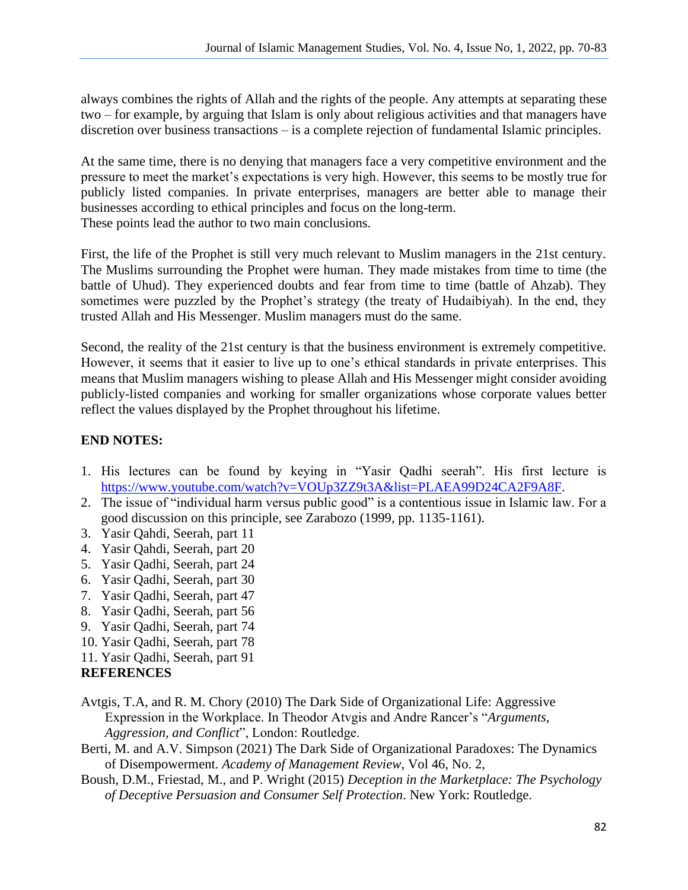always combines the rights of Allah and the rights of the people. Any attempts at separating these two – for example, by arguing that Islam is only about religious activities and that managers have discretion over business transactions – is a complete rejection of fundamental Islamic principles.

At the same time, there is no denying that managers face a very competitive environment and the pressure to meet the market's expectations is very high. However, this seems to be mostly true for publicly listed companies. In private enterprises, managers are better able to manage their businesses according to ethical principles and focus on the long-term. These points lead the author to two main conclusions.

First, the life of the Prophet is still very much relevant to Muslim managers in the 21st century. The Muslims surrounding the Prophet were human. They made mistakes from time to time (the battle of Uhud). They experienced doubts and fear from time to time (battle of Ahzab). They sometimes were puzzled by the Prophet's strategy (the treaty of Hudaibiyah). In the end, they trusted Allah and His Messenger. Muslim managers must do the same.

Second, the reality of the 21st century is that the business environment is extremely competitive. However, it seems that it easier to live up to one's ethical standards in private enterprises. This means that Muslim managers wishing to please Allah and His Messenger might consider avoiding publicly-listed companies and working for smaller organizations whose corporate values better reflect the values displayed by the Prophet throughout his lifetime.

### **END NOTES:**

- 1. His lectures can be found by keying in "Yasir Qadhi seerah". His first lecture is [https://www.youtube.com/watch?v=VOUp3ZZ9t3A&list=PLAEA99D24CA2F9A8F.](https://www.youtube.com/watch?v=VOUp3ZZ9t3A&list=PLAEA99D24CA2F9A8F)
- 2. The issue of "individual harm versus public good" is a contentious issue in Islamic law. For a good discussion on this principle, see Zarabozo (1999, pp. 1135-1161).
- 3. Yasir Qahdi, Seerah, part 11
- 4. Yasir Qahdi, Seerah, part 20
- 5. Yasir Qadhi, Seerah, part 24
- 6. Yasir Qadhi, Seerah, part 30
- 7. Yasir Qadhi, Seerah, part 47
- 8. Yasir Qadhi, Seerah, part 56
- 9. Yasir Qadhi, Seerah, part 74
- 10. Yasir Qadhi, Seerah, part 78
- 11. Yasir Qadhi, Seerah, part 91

#### **REFERENCES**

- Avtgis, T.A, and R. M. Chory (2010) The Dark Side of Organizational Life: Aggressive Expression in the Workplace. In Theodor Atvgis and Andre Rancer's "*Arguments, Aggression, and Conflict*", London: Routledge.
- Berti, M. and A.V. Simpson (2021) The Dark Side of Organizational Paradoxes: The Dynamics of Disempowerment. *Academy of Management Review*, Vol 46, No. 2,
- Boush, D.M., Friestad, M., and P. Wright (2015) *Deception in the Marketplace: The Psychology of Deceptive Persuasion and Consumer Self Protection*. New York: Routledge.